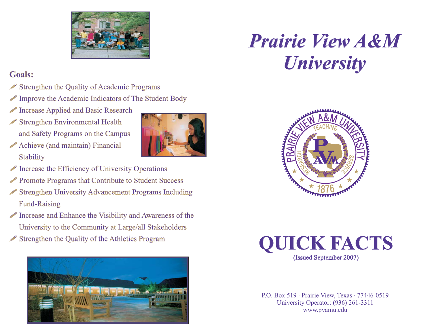

# **Goals:**

- Strengthen the Quality of Academic Programs
- $\mathscr P$  Improve the Academic Indicators of The Student Body
- ! Increase Applied and Basic Research Applied and Basic
- Strengthen Environmental Health and Safety Programs on the Campus and Safety Programs on the
- ! Achieve (and maintain) Financial Achieve (and maintain) **Stability**
- 
- ! Increase the Efficiency of University Operations Increase the Efficiency of University
- ! Promote Programs that Contribute to Student Success Promote Programs that Contribute to Student
- Strengthen University Advancement Programs Including Fund-Raising
- ! Increase and Enhance the Visibility and Awareness of the Increase and Enhance Visibility Awareness of ! Strengthen the Quality of the Athletics Program University to the Community at Large/all Stakeholders University to the Community at Large/all



# *University Prairie*





P.O. Box 519 · Prairie View, Texas · 77446-0519 University Operator: (936) 261-3311 www.pvamu.edu